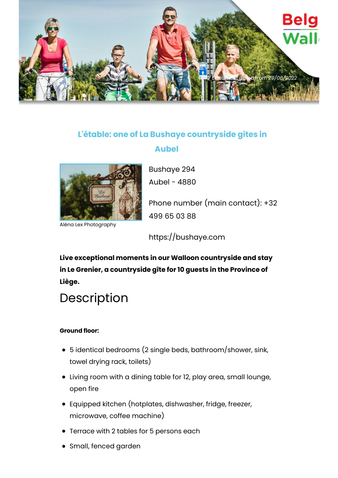

## **L'étable: one of La Bushaye countryside gites in**

## **Aubel**



Aléna Lex Photography

Bushaye 294 Aubel - 4880

Phone number (main contact): +32 499 65 03 88

https://bushaye.com

**Live exceptional moments in our Walloon countryside and stay in Le Grenier, a countryside gîte for 10 guests in the Province of Liège.**

# Description

#### **Ground floor:**

- 5 identical bedrooms (2 single beds, bathroom/shower, sink, towel drying rack, toilets)
- Living room with a dining table for 12, play area, small lounge, open fire
- Equipped kitchen (hotplates, dishwasher, fridge, freezer, microwave, coffee machine)
- Terrace with 2 tables for 5 persons each
- Small, fenced garden